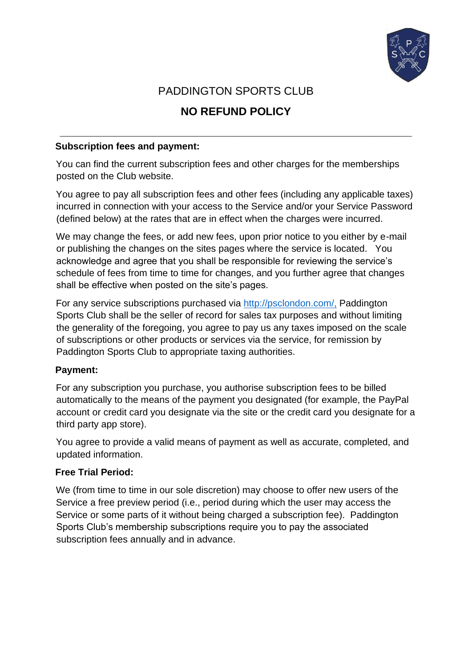

## PADDINGTON SPORTS CLUB

# **NO REFUND POLICY**

**\_\_\_\_\_\_\_\_\_\_\_\_\_\_\_\_\_\_\_\_\_\_\_\_\_\_\_\_\_\_\_\_\_\_\_\_\_\_\_\_\_\_\_\_\_\_\_\_\_\_\_\_\_\_\_\_\_** 

#### **Subscription fees and payment:**

You can find the current subscription fees and other charges for the memberships posted on the Club website.

You agree to pay all subscription fees and other fees (including any applicable taxes) incurred in connection with your access to the Service and/or your Service Password (defined below) at the rates that are in effect when the charges were incurred.

We may change the fees, or add new fees, upon prior notice to you either by e-mail or publishing the changes on the sites pages where the service is located. You acknowledge and agree that you shall be responsible for reviewing the service's schedule of fees from time to time for changes, and you further agree that changes shall be effective when posted on the site's pages.

For any service subscriptions purchased via<http://psclondon.com/,> [Pad](http://psclondon.com/,)dington Sports Club shall be the seller of record for sales tax purposes and without limiting the generality of the foregoing, you agree to pay us any taxes imposed on the scale of subscriptions or other products or services via the service, for remission by Paddington Sports Club to appropriate taxing authorities.

#### **Payment:**

For any subscription you purchase, you authorise subscription fees to be billed automatically to the means of the payment you designated (for example, the PayPal account or credit card you designate via the site or the credit card you designate for a third party app store).

You agree to provide a valid means of payment as well as accurate, completed, and updated information.

#### **Free Trial Period:**

We (from time to time in our sole discretion) may choose to offer new users of the Service a free preview period (i.e., period during which the user may access the Service or some parts of it without being charged a subscription fee). Paddington Sports Club's membership subscriptions require you to pay the associated subscription fees annually and in advance.